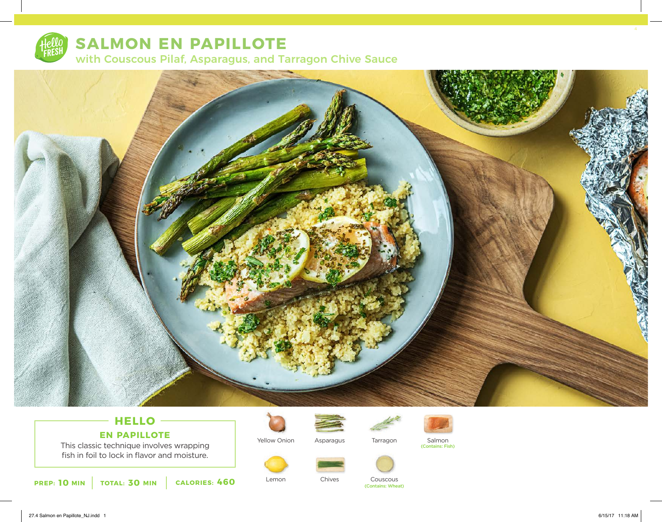

# **SALMON EN PAPILLOTE**

with Couscous Pilaf, Asparagus, and Tarragon Chive Sauce



# **HELLO EN PAPILLOTE**

This classic technique involves wrapping fish in foil to lock in flavor and moisture.



Yellow Onion

Lemon





Asparagus Tarragon Salmon (Contains: Fish)



Chives



**10 MIN TOTAL: 30 MIN CALORIES: 460 Demon Contains: Wheat)** Contains: Wheat) **CALORIES: 460**